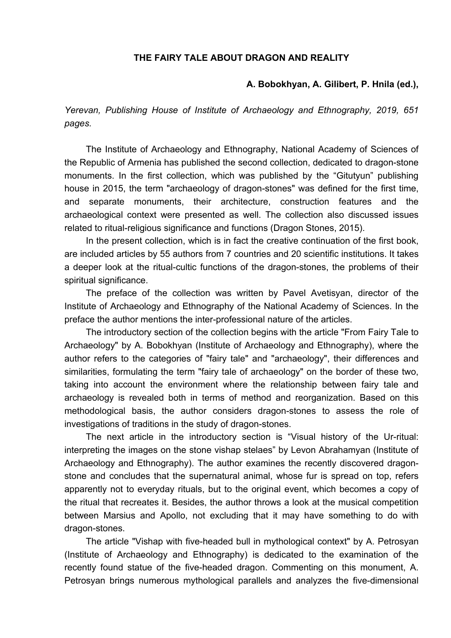## **THE FAIRY TALE ABOUT DRAGON AND REALITY**

## **A. Bobokhyan, A. Gilibert, P. Hnila (ed.),**

*Yerevan, Publishing House of Institute of Archaeology and Ethnography, 2019, 651 pages.* 

The Institute of Archaeology and Ethnography, National Academy of Sciences of the Republic of Armenia has published the second collection, dedicated to dragon-stone monuments. In the first collection, which was published by the "Gitutyun" publishing house in 2015, the term "archaeology of dragon-stones" was defined for the first time, and separate monuments, their architecture, construction features and the archaeological context were presented as well. The collection also discussed issues related to ritual-religious significance and functions (Dragon Stones, 2015).

In the present collection, which is in fact the creative continuation of the first book, are included articles by 55 authors from 7 countries and 20 scientific institutions. It takes a deeper look at the ritual-cultic functions of the dragon-stones, the problems of their spiritual significance.

The preface of the collection was written by Pavel Avetisyan, director of the Institute of Archaeology and Ethnography of the National Academy of Sciences. In the preface the author mentions the inter-professional nature of the articles.

The introductory section of the collection begins with the article "From Fairy Tale to Archaeology" by A. Bobokhyan (Institute of Archaeology and Ethnography), where the author refers to the categories of "fairy tale" and "archaeology", their differences and similarities, formulating the term "fairy tale of archaeology" on the border of these two, taking into account the environment where the relationship between fairy tale and archaeology is revealed both in terms of method and reorganization. Based on this methodological basis, the author considers dragon-stones to assess the role of investigations of traditions in the study of dragon-stones.

The next article in the introductory section is "Visual history of the Ur-ritual: interpreting the images on the stone vishap stelaes" by Levon Abrahamyan (Institute of Archaeology and Ethnography). The author examines the recently discovered dragonstone and concludes that the supernatural animal, whose fur is spread on top, refers apparently not to everyday rituals, but to the original event, which becomes a copy of the ritual that recreates it. Besides, the author throws a look at the musical competition between Marsius and Apollo, not excluding that it may have something to do with dragon-stones.

The article "Vishap with five-headed bull in mythological context" by A. Petrosyan (Institute of Archaeology and Ethnography) is dedicated to the examination of the recently found statue of the five-headed dragon. Commenting on this monument, A. Petrosyan brings numerous mythological parallels and analyzes the five-dimensional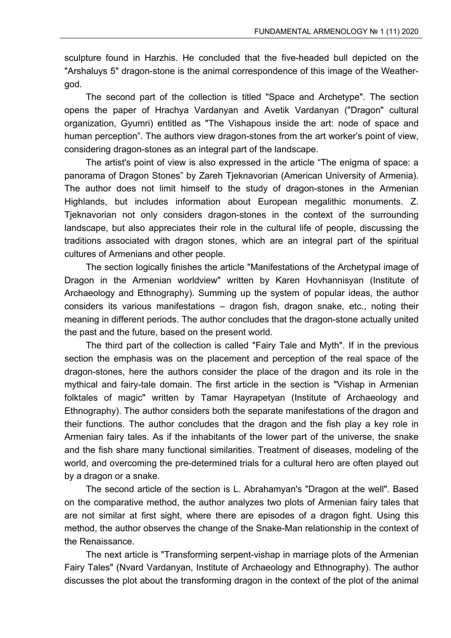sculpture found in Harzhis. He concluded that the five-headed bull depicted on the "Arshaluys 5" dragon-stone is the animal correspondence of this image of the Weathergod.

The second part of the collection is titled "Space and Archetype". The section opens the paper of Hrachya Vardanyan and Avetik Vardanyan ("Dragon" cultural organization, Gyumri) entitled as "The Vishapous inside the art: node of space and human perception". The authors view dragon-stones from the art worker's point of view, considering dragon-stones as an integral part of the landscape.

The artist's point of view is also expressed in the article "The enigma of space: a panorama of Dragon Stones" by Zareh Tjeknavorian (American University of Armenia). The author does not limit himself to the study of dragon-stones in the Armenian Highlands, but includes information about European megalithic monuments. Z. Tjeknavorian not only considers dragon-stones in the context of the surrounding landscape, but also appreciates their role in the cultural life of people, discussing the traditions associated with dragon stones, which are an integral part of the spiritual cultures of Armenians and other people.

The section logically finishes the article "Manifestations of the Archetypal image of Dragon in the Armenian worldview" written by Karen Hovhannisyan (Institute of Archaeology and Ethnography). Summing up the system of popular ideas, the author considers its various manifestations – dragon fish, dragon snake, etc., noting their meaning in different periods. The author concludes that the dragon-stone actually united the past and the future, based on the present world.

The third part of the collection is called "Fairy Tale and Myth". If in the previous section the emphasis was on the placement and perception of the real space of the dragon-stones, here the authors consider the place of the dragon and its role in the mythical and fairy-tale domain. The first article in the section is "Vishap in Armenian folktales of magic" written by Tamar Hayrapetyan (Institute of Archaeology and Ethnography). The author considers both the separate manifestations of the dragon and their functions. The author concludes that the dragon and the fish play a key role in Armenian fairy tales. As if the inhabitants of the lower part of the universe, the snake and the fish share many functional similarities. Treatment of diseases, modeling of the world, and overcoming the pre-determined trials for a cultural hero are often played out by a dragon or a snake.

The second article of the section is L. Abrahamyan's "Dragon at the well". Based on the comparative method, the author analyzes two plots of Armenian fairy tales that are not similar at first sight, where there are episodes of a dragon fight. Using this method, the author observes the change of the Snake-Man relationship in the context of the Renaissance.

The next article is "Transforming serpent-vishap in marriage plots of the Armenian Fairy Tales" (Nvard Vardanyan, Institute of Archaeology and Ethnography). The author discusses the plot about the transforming dragon in the context of the plot of the animal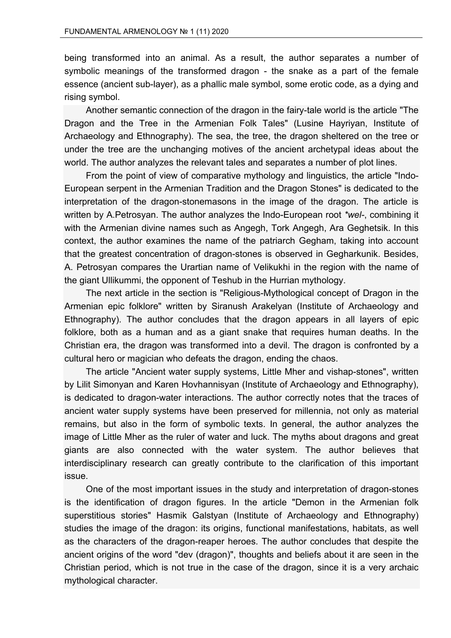being transformed into an animal. As a result, the author separates a number of symbolic meanings of the transformed dragon - the snake as a part of the female essence (ancient sub-layer), as a phallic male symbol, some erotic code, as a dying and rising symbol.

Another semantic connection of the dragon in the fairy-tale world is the article "The Dragon and the Tree in the Armenian Folk Tales" (Lusine Hayriyan, Institute of Archaeology and Ethnography). The sea, the tree, the dragon sheltered on the tree or under the tree are the unchanging motives of the ancient archetypal ideas about the world. The author analyzes the relevant tales and separates a number of plot lines.

From the point of view of comparative mythology and linguistics, the article "Indo-European serpent in the Armenian Tradition and the Dragon Stones" is dedicated to the interpretation of the dragon-stonemasons in the image of the dragon. The article is written by A.Petrosyan. The author analyzes the Indo-European root *\*wel-*, combining it with the Armenian divine names such as Angegh, Tork Angegh, Ara Geghetsik. In this context, the author examines the name of the patriarch Gegham, taking into account that the greatest concentration of dragon-stones is observed in Gegharkunik. Besides, A. Petrosyan compares the Urartian name of Velikukhi in the region with the name of the giant Ullikummi, the opponent of Teshub in the Hurrian mythology.

The next article in the section is "Religious-Mythological concept of Dragon in the Armenian epic folklore" written by Siranush Arakelyan (Institute of Archaeology and Ethnography). The author concludes that the dragon appears in all layers of epic folklore, both as a human and as a giant snake that requires human deaths. In the Christian era, the dragon was transformed into a devil. The dragon is confronted by a cultural hero or magician who defeats the dragon, ending the chaos.

The article "Ancient water supply systems, Little Mher and vishap-stones", written by Lilit Simonyan and Karen Hovhannisyan (Institute of Archaeology and Ethnography), is dedicated to dragon-water interactions. The author correctly notes that the traces of ancient water supply systems have been preserved for millennia, not only as material remains, but also in the form of symbolic texts. In general, the author analyzes the image of Little Mher as the ruler of water and luck. The myths about dragons and great giants are also connected with the water system. The author believes that interdisciplinary research can greatly contribute to the clarification of this important issue.

One of the most important issues in the study and interpretation of dragon-stones is the identification of dragon figures. In the article "Demon in the Armenian folk superstitious stories" Hasmik Galstyan (Institute of Archaeology and Ethnography) studies the image of the dragon: its origins, functional manifestations, habitats, as well as the characters of the dragon-reaper heroes. The author concludes that despite the ancient origins of the word "dev (dragon)", thoughts and beliefs about it are seen in the Christian period, which is not true in the case of the dragon, since it is a very archaic mythological character.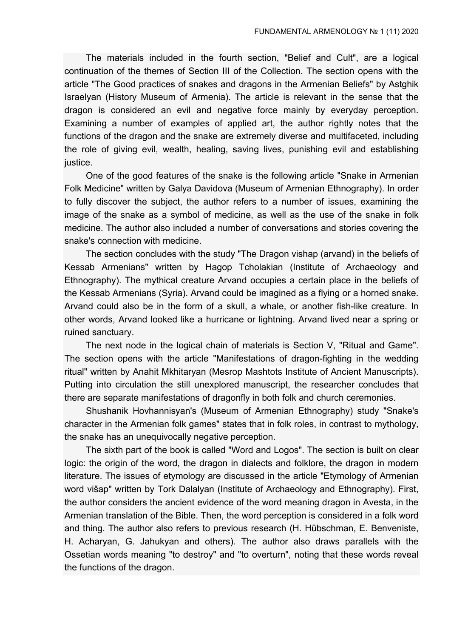The materials included in the fourth section, "Belief and Cult", are a logical continuation of the themes of Section III of the Collection. The section opens with the article "The Good practices of snakes and dragons in the Armenian Beliefs" by Astghik Israelyan (History Museum of Armenia). The article is relevant in the sense that the dragon is considered an evil and negative force mainly by everyday perception. Examining a number of examples of applied art, the author rightly notes that the functions of the dragon and the snake are extremely diverse and multifaceted, including the role of giving evil, wealth, healing, saving lives, punishing evil and establishing justice.

One of the good features of the snake is the following article "Snake in Armenian Folk Medicine" written by Galya Davidova (Museum of Armenian Ethnography). In order to fully discover the subject, the author refers to a number of issues, examining the image of the snake as a symbol of medicine, as well as the use of the snake in folk medicine. The author also included a number of conversations and stories covering the snake's connection with medicine.

The section concludes with the study "The Dragon vishap (arvand) in the beliefs of Kessab Armenians" written by Hagop Tcholakian (Institute of Archaeology and Ethnography). The mythical creature Arvand occupies a certain place in the beliefs of the Kessab Armenians (Syria). Arvand could be imagined as a flying or a horned snake. Arvand could also be in the form of a skull, a whale, or another fish-like creature. In other words, Arvand looked like a hurricane or lightning. Arvand lived near a spring or ruined sanctuary.

The next node in the logical chain of materials is Section V, "Ritual and Game". The section opens with the article "Manifestations of dragon-fighting in the wedding ritual" written by Anahit Mkhitaryan (Mesrop Mashtots Institute of Ancient Manuscripts). Putting into circulation the still unexplored manuscript, the researcher concludes that there are separate manifestations of dragonfly in both folk and church ceremonies.

Shushanik Hovhannisyan's (Museum of Armenian Ethnography) study "Snake's character in the Armenian folk games" states that in folk roles, in contrast to mythology, the snake has an unequivocally negative perception.

The sixth part of the book is called "Word and Logos". The section is built on clear logic: the origin of the word, the dragon in dialects and folklore, the dragon in modern literature. The issues of etymology are discussed in the article "Etymology of Armenian word višap" written by Tork Dalalyan (Institute of Archaeology and Ethnography). First, the author considers the ancient evidence of the word meaning dragon in Avesta, in the Armenian translation of the Bible. Then, the word perception is considered in a folk word and thing. The author also refers to previous research (H. Hübschman, E. Benveniste, H. Acharyan, G. Jahukyan and others). The author also draws parallels with the Ossetian words meaning "to destroy" and "to overturn", noting that these words reveal the functions of the dragon.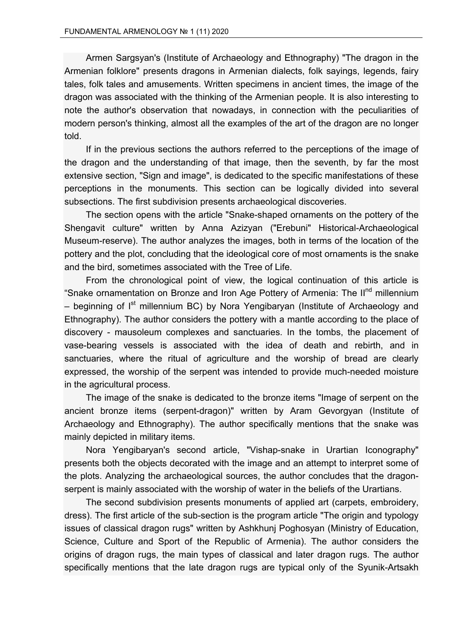Armen Sargsyan's (Institute of Archaeology and Ethnography) "The dragon in the Armenian folklore" presents dragons in Armenian dialects, folk sayings, legends, fairy tales, folk tales and amusements. Written specimens in ancient times, the image of the dragon was associated with the thinking of the Armenian people. It is also interesting to note the author's observation that nowadays, in connection with the peculiarities of modern person's thinking, almost all the examples of the art of the dragon are no longer told.

If in the previous sections the authors referred to the perceptions of the image of the dragon and the understanding of that image, then the seventh, by far the most extensive section, "Sign and image", is dedicated to the specific manifestations of these perceptions in the monuments. This section can be logically divided into several subsections. The first subdivision presents archaeological discoveries.

The section opens with the article "Snake-shaped ornaments on the pottery of the Shengavit culture" written by Anna Azizyan ("Erebuni" Historical-Archaeological Museum-reserve). The author analyzes the images, both in terms of the location of the pottery and the plot, concluding that the ideological core of most ornaments is the snake and the bird, sometimes associated with the Tree of Life.

From the chronological point of view, the logical continuation of this article is "Snake ornamentation on Bronze and Iron Age Pottery of Armenia: The II<sup>nd</sup> millennium – beginning of  $I<sup>st</sup>$  millennium BC) by Nora Yengibaryan (Institute of Archaeology and Ethnography). The author considers the pottery with a mantle according to the place of discovery - mausoleum complexes and sanctuaries. In the tombs, the placement of vase-bearing vessels is associated with the idea of death and rebirth, and in sanctuaries, where the ritual of agriculture and the worship of bread are clearly expressed, the worship of the serpent was intended to provide much-needed moisture in the agricultural process.

The image of the snake is dedicated to the bronze items "Image of serpent on the ancient bronze items (serpent-dragon)" written by Aram Gevorgyan (Institute of Archaeology and Ethnography). The author specifically mentions that the snake was mainly depicted in military items.

Nora Yengibaryan's second article, "Vishap-snake in Urartian Iconography" presents both the objects decorated with the image and an attempt to interpret some of the plots. Analyzing the archaeological sources, the author concludes that the dragonserpent is mainly associated with the worship of water in the beliefs of the Urartians.

The second subdivision presents monuments of applied art (carpets, embroidery, dress). The first article of the sub-section is the program article "The origin and typology issues of classical dragon rugs" written by Ashkhunj Poghosyan (Ministry of Education, Science, Culture and Sport of the Republic of Armenia). The author considers the origins of dragon rugs, the main types of classical and later dragon rugs. The author specifically mentions that the late dragon rugs are typical only of the Syunik-Artsakh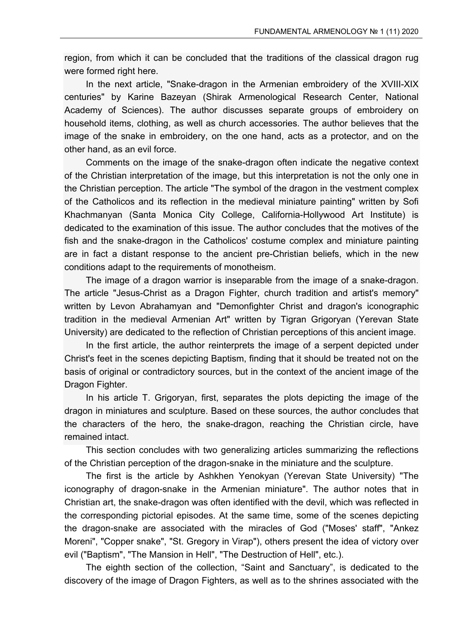region, from which it can be concluded that the traditions of the classical dragon rug were formed right here.

In the next article, "Snake-dragon in the Armenian embroidery of the XVIII-XIX centuries" by Karine Bazeyan (Shirak Armenological Research Center, National Academy of Sciences). The author discusses separate groups of embroidery on household items, clothing, as well as church accessories. The author believes that the image of the snake in embroidery, on the one hand, acts as a protector, and on the other hand, as an evil force.

Comments on the image of the snake-dragon often indicate the negative context of the Christian interpretation of the image, but this interpretation is not the only one in the Christian perception. The article "The symbol of the dragon in the vestment complex of the Catholicos and its reflection in the medieval miniature painting" written by Sofi Khachmanyan (Santa Monica City College, California-Hollywood Art Institute) is dedicated to the examination of this issue. The author concludes that the motives of the fish and the snake-dragon in the Catholicos' costume complex and miniature painting are in fact a distant response to the ancient pre-Christian beliefs, which in the new conditions adapt to the requirements of monotheism.

The image of a dragon warrior is inseparable from the image of a snake-dragon. The article "Jesus-Christ as a Dragon Fighter, church tradition and artist's memory" written by Levon Abrahamyan and "Demonfighter Christ and dragon's iconographic tradition in the medieval Armenian Art" written by Tigran Grigoryan (Yerevan State University) are dedicated to the reflection of Christian perceptions of this ancient image.

In the first article, the author reinterprets the image of a serpent depicted under Christ's feet in the scenes depicting Baptism, finding that it should be treated not on the basis of original or contradictory sources, but in the context of the ancient image of the Dragon Fighter.

In his article T. Grigoryan, first, separates the plots depicting the image of the dragon in miniatures and sculpture. Based on these sources, the author concludes that the characters of the hero, the snake-dragon, reaching the Christian circle, have remained intact.

This section concludes with two generalizing articles summarizing the reflections of the Christian perception of the dragon-snake in the miniature and the sculpture.

The first is the article by Ashkhen Yenokyan (Yerevan State University) "The iconography of dragon-snake in the Armenian miniature". The author notes that in Christian art, the snake-dragon was often identified with the devil, which was reflected in the corresponding pictorial episodes. At the same time, some of the scenes depicting the dragon-snake are associated with the miracles of God ("Moses' staff", "Ankez Moreni", "Copper snake", "St. Gregory in Virap"), others present the idea of victory over evil ("Baptism", "The Mansion in Hell", "The Destruction of Hell", etc.).

The eighth section of the collection, "Saint and Sanctuary", is dedicated to the discovery of the image of Dragon Fighters, as well as to the shrines associated with the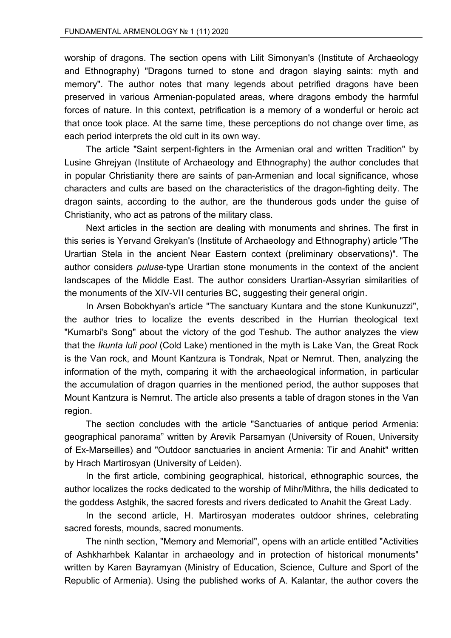worship of dragons. The section opens with Lilit Simonyan's (Institute of Archaeology and Ethnography) "Dragons turned to stone and dragon slaying saints: myth and memory". The author notes that many legends about petrified dragons have been preserved in various Armenian-populated areas, where dragons embody the harmful forces of nature. In this context, petrification is a memory of a wonderful or heroic act that once took place. At the same time, these perceptions do not change over time, as each period interprets the old cult in its own way.

The article "Saint serpent-fighters in the Armenian oral and written Tradition" by Lusine Ghrejyan (Institute of Archaeology and Ethnography) the author concludes that in popular Christianity there are saints of pan-Armenian and local significance, whose characters and cults are based on the characteristics of the dragon-fighting deity. The dragon saints, according to the author, are the thunderous gods under the guise of Christianity, who act as patrons of the military class.

Next articles in the section are dealing with monuments and shrines. The first in this series is Yervand Grekyan's (Institute of Archaeology and Ethnography) article "The Urartian Stela in the ancient Near Eastern context (preliminary observations)". The author considers *puluse*-type Urartian stone monuments in the context of the ancient landscapes of the Middle East. The author considers Urartian-Assyrian similarities of the monuments of the XIV-VII centuries BC, suggesting their general origin.

In Arsen Bobokhyan's article "The sanctuary Kuntara and the stone Kunkunuzzi", the author tries to localize the events described in the Hurrian theological text "Kumarbi's Song" about the victory of the god Teshub. The author analyzes the view that the *Ikunta luli pool* (Cold Lake) mentioned in the myth is Lake Van, the Great Rock is the Van rock, and Mount Kantzura is Tondrak, Npat or Nemrut. Then, analyzing the information of the myth, comparing it with the archaeological information, in particular the accumulation of dragon quarries in the mentioned period, the author supposes that Mount Kantzura is Nemrut. The article also presents a table of dragon stones in the Van region.

The section concludes with the article "Sanctuaries of antique period Armenia: geographical panorama" written by Arevik Parsamyan (University of Rouen, University of Ex-Marseilles) and "Outdoor sanctuaries in ancient Armenia: Tir and Anahit" written by Hrach Martirosyan (University of Leiden).

In the first article, combining geographical, historical, ethnographic sources, the author localizes the rocks dedicated to the worship of Mihr/Mithra, the hills dedicated to the goddess Astghik, the sacred forests and rivers dedicated to Anahit the Great Lady.

In the second article, H. Martirosyan moderates outdoor shrines, celebrating sacred forests, mounds, sacred monuments.

The ninth section, "Memory and Memorial", opens with an article entitled "Activities of Ashkharhbek Kalantar in archaeology and in protection of historical monuments" written by Karen Bayramyan (Ministry of Education, Science, Culture and Sport of the Republic of Armenia). Using the published works of A. Kalantar, the author covers the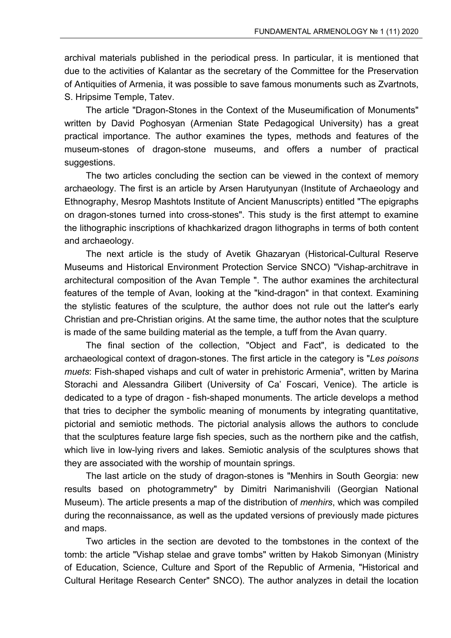archival materials published in the periodical press. In particular, it is mentioned that due to the activities of Kalantar as the secretary of the Committee for the Preservation of Antiquities of Armenia, it was possible to save famous monuments such as Zvartnots, S. Hripsime Temple, Tatev.

The article "Dragon-Stones in the Context of the Museumification of Monuments" written by David Poghosyan (Armenian State Pedagogical University) has a great practical importance. The author examines the types, methods and features of the museum-stones of dragon-stone museums, and offers a number of practical suggestions.

The two articles concluding the section can be viewed in the context of memory archaeology. The first is an article by Arsen Harutyunyan (Institute of Archaeology and Ethnography, Mesrop Mashtots Institute of Ancient Manuscripts) entitled "The epigraphs on dragon-stones turned into cross-stones". This study is the first attempt to examine the lithographic inscriptions of khachkarized dragon lithographs in terms of both content and archaeology.

The next article is the study of Avetik Ghazaryan (Historical-Cultural Reserve Museums and Historical Environment Protection Service SNCO) "Vishap-architrave in architectural composition of the Avan Temple ". The author examines the architectural features of the temple of Avan, looking at the "kind-dragon" in that context. Examining the stylistic features of the sculpture, the author does not rule out the latter's early Christian and pre-Christian origins. At the same time, the author notes that the sculpture is made of the same building material as the temple, a tuff from the Avan quarry.

The final section of the collection, "Object and Fact", is dedicated to the archaeological context of dragon-stones. The first article in the category is "*Les poisons muets*: Fish-shaped vishaps and cult of water in prehistoric Armenia", written by Marina Storachi and Alessandra Gilibert (University of Ca' Foscari, Venice). The article is dedicated to a type of dragon - fish-shaped monuments. The article develops a method that tries to decipher the symbolic meaning of monuments by integrating quantitative, pictorial and semiotic methods. The pictorial analysis allows the authors to conclude that the sculptures feature large fish species, such as the northern pike and the catfish, which live in low-lying rivers and lakes. Semiotic analysis of the sculptures shows that they are associated with the worship of mountain springs.

The last article on the study of dragon-stones is "Menhirs in South Georgia: new results based on photogrammetry" by Dimitri Narimanishvili (Georgian National Museum). The article presents a map of the distribution of *menhirs*, which was compiled during the reconnaissance, as well as the updated versions of previously made pictures and maps.

Two articles in the section are devoted to the tombstones in the context of the tomb: the article "Vishap stelae and grave tombs" written by Hakob Simonyan (Ministry of Education, Science, Culture and Sport of the Republic of Armenia, "Historical and Cultural Heritage Research Center" SNCO). The author analyzes in detail the location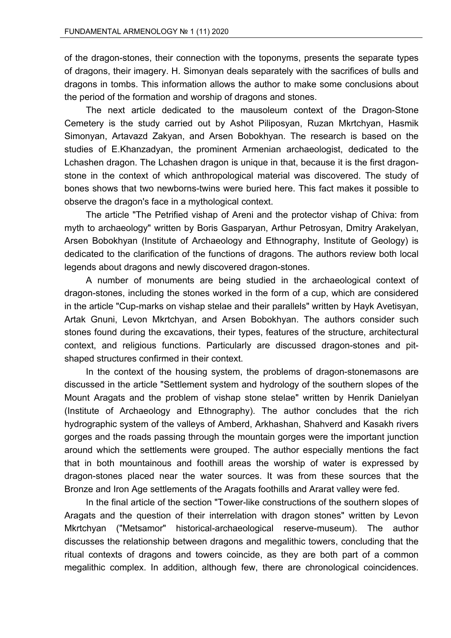of the dragon-stones, their connection with the toponyms, presents the separate types of dragons, their imagery. H. Simonyan deals separately with the sacrifices of bulls and dragons in tombs. This information allows the author to make some conclusions about the period of the formation and worship of dragons and stones.

The next article dedicated to the mausoleum context of the Dragon-Stone Cemetery is the study carried out by Ashot Piliposyan, Ruzan Mkrtchyan, Hasmik Simonyan, Artavazd Zakyan, and Arsen Bobokhyan. The research is based on the studies of E.Khanzadyan, the prominent Armenian archaeologist, dedicated to the Lchashen dragon. The Lchashen dragon is unique in that, because it is the first dragonstone in the context of which anthropological material was discovered. The study of bones shows that two newborns-twins were buried here. This fact makes it possible to observe the dragon's face in a mythological context.

The article "The Petrified vishap of Areni and the protector vishap of Chiva: from myth to archaeology" written by Boris Gasparyan, Arthur Petrosyan, Dmitry Arakelyan, Arsen Bobokhyan (Institute of Archaeology and Ethnography, Institute of Geology) is dedicated to the clarification of the functions of dragons. The authors review both local legends about dragons and newly discovered dragon-stones.

A number of monuments are being studied in the archaeological context of dragon-stones, including the stones worked in the form of a cup, which are considered in the article "Cup-marks on vishap stelae and their parallels" written by Hayk Avetisyan, Artak Gnuni, Levon Mkrtchyan, and Arsen Bobokhyan. The authors consider such stones found during the excavations, their types, features of the structure, architectural context, and religious functions. Particularly are discussed dragon-stones and pitshaped structures confirmed in their context.

In the context of the housing system, the problems of dragon-stonemasons are discussed in the article "Settlement system and hydrology of the southern slopes of the Mount Aragats and the problem of vishap stone stelae" written by Henrik Danielyan (Institute of Archaeology and Ethnography). The author concludes that the rich hydrographic system of the valleys of Amberd, Arkhashan, Shahverd and Kasakh rivers gorges and the roads passing through the mountain gorges were the important junction around which the settlements were grouped. The author especially mentions the fact that in both mountainous and foothill areas the worship of water is expressed by dragon-stones placed near the water sources. It was from these sources that the Bronze and Iron Age settlements of the Aragats foothills and Ararat valley were fed.

In the final article of the section "Tower-like constructions of the southern slopes of Aragats and the question of their interrelation with dragon stones" written by Levon Mkrtchyan ("Metsamor" historical-archaeological reserve-museum). The author discusses the relationship between dragons and megalithic towers, concluding that the ritual contexts of dragons and towers coincide, as they are both part of a common megalithic complex. In addition, although few, there are chronological coincidences.